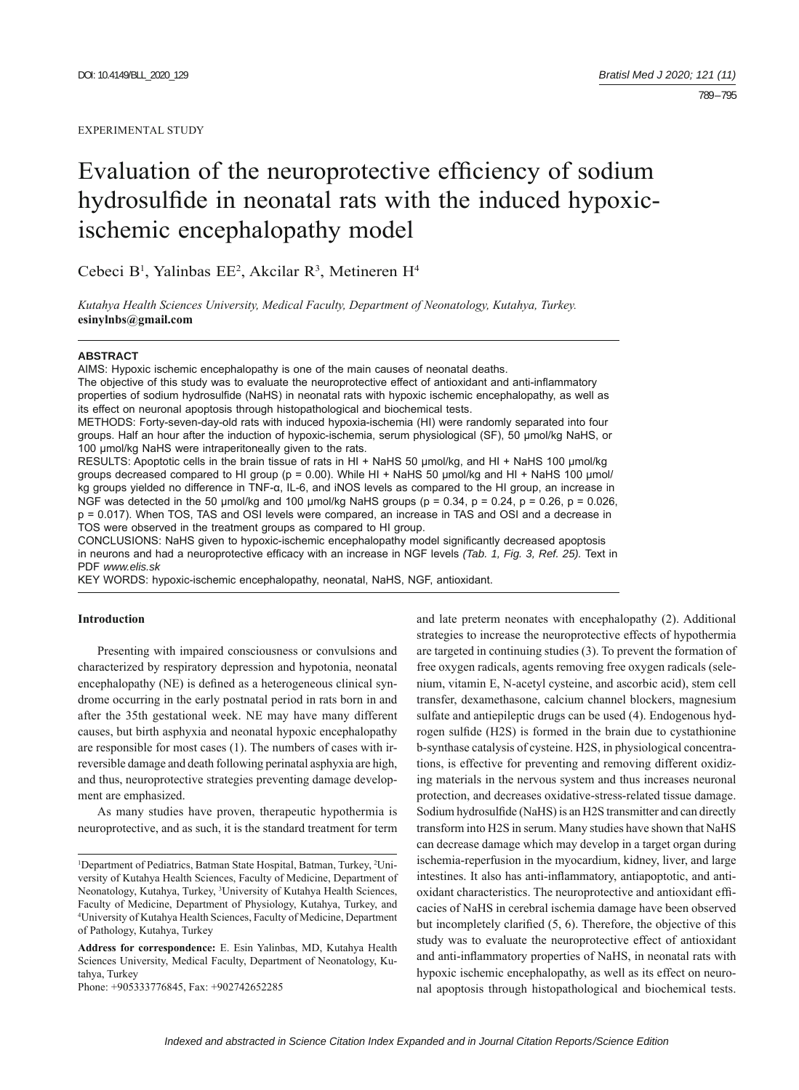#### EXPERIMENTAL STUDY

# Evaluation of the neuroprotective efficiency of sodium hydrosulfide in neonatal rats with the induced hypoxicischemic encephalopathy model

Cebeci B<sup>1</sup>, Yalinbas EE<sup>2</sup>, Akcilar R<sup>3</sup>, Metineren H<sup>4</sup>

*Kutahya Health Sciences University, Medical Faculty, Department of Neonatology, Kutahya, Turkey.*  **esinylnbs@gmail.com**

#### **ABSTRACT**

AIMS: Hypoxic ischemic encephalopathy is one of the main causes of neonatal deaths. The objective of this study was to evaluate the neuroprotective effect of antioxidant and anti-inflammatory properties of sodium hydrosulfide (NaHS) in neonatal rats with hypoxic ischemic encephalopathy, as well as its effect on neuronal apoptosis through histopathological and biochemical tests.

METHODS: Forty-seven-day-old rats with induced hypoxia-ischemia (HI) were randomly separated into four groups. Half an hour after the induction of hypoxic-ischemia, serum physiological (SF), 50 μmol/kg NaHS, or 100 μmol/kg NaHS were intraperitoneally given to the rats.

RESULTS: Apoptotic cells in the brain tissue of rats in HI + NaHS 50 μmol/kg, and HI + NaHS 100 μmol/kg groups decreased compared to HI group ( $p = 0.00$ ). While HI + NaHS 50 µmol/kg and HI + NaHS 100 µmol/ kg groups yielded no difference in TNF-α, IL-6, and iNOS levels as compared to the HI group, an increase in NGF was detected in the 50 µmol/kg and 100 µmol/kg NaHS groups ( $p = 0.34$ ,  $p = 0.24$ ,  $p = 0.26$ ,  $p = 0.026$ , p = 0.017). When TOS, TAS and OSI levels were compared, an increase in TAS and OSI and a decrease in TOS were observed in the treatment groups as compared to HI group.

CONCLUSIONS: NaHS given to hypoxic-ischemic encephalopathy model significantly decreased apoptosis in neurons and had a neuroprotective efficacy with an increase in NGF levels *(Tab. 1, Fig. 3, Ref. 25)*. Text in PDF *www.elis.sk*

KEY WORDS: hypoxic-ischemic encephalopathy, neonatal, NaHS, NGF, antioxidant.

## **Introduction**

Presenting with impaired consciousness or convulsions and characterized by respiratory depression and hypotonia, neonatal encephalopathy (NE) is defined as a heterogeneous clinical syndrome occurring in the early postnatal period in rats born in and after the 35th gestational week. NE may have many different causes, but birth asphyxia and neonatal hypoxic encephalopathy are responsible for most cases (1). The numbers of cases with irreversible damage and death following perinatal asphyxia are high, and thus, neuroprotective strategies preventing damage development are emphasized.

As many studies have proven, therapeutic hypothermia is neuroprotective, and as such, it is the standard treatment for term

Phone: +905333776845, Fax: +902742652285

and late preterm neonates with encephalopathy (2). Additional strategies to increase the neuroprotective effects of hypothermia are targeted in continuing studies (3). To prevent the formation of free oxygen radicals, agents removing free oxygen radicals (selenium, vitamin E, N-acetyl cysteine, and ascorbic acid), stem cell transfer, dexamethasone, calcium channel blockers, magnesium sulfate and antiepileptic drugs can be used (4). Endogenous hydrogen sulfide (H2S) is formed in the brain due to cystathionine b-synthase catalysis of cysteine. H2S, in physiological concentrations, is effective for preventing and removing different oxidizing materials in the nervous system and thus increases neuronal protection, and decreases oxidative-stress-related tissue damage. Sodium hydrosulfide (NaHS) is an H2S transmitter and can directly transform into H2S in serum. Many studies have shown that NaHS can decrease damage which may develop in a target organ during ischemia-reperfusion in the myocardium, kidney, liver, and large intestines. It also has anti-inflammatory, antiapoptotic, and antioxidant characteristics. The neuroprotective and antioxidant effi cacies of NaHS in cerebral ischemia damage have been observed but incompletely clarified  $(5, 6)$ . Therefore, the objective of this study was to evaluate the neuroprotective effect of antioxidant and anti-inflammatory properties of NaHS, in neonatal rats with hypoxic ischemic encephalopathy, as well as its effect on neuronal apoptosis through histopathological and biochemical tests.

<sup>&</sup>lt;sup>1</sup>Department of Pediatrics, Batman State Hospital, Batman, Turkey, <sup>2</sup>University of Kutahya Health Sciences, Faculty of Medicine, Department of Neonatology, Kutahya, Turkey, <sup>3</sup>University of Kutahya Health Sciences, Faculty of Medicine, Department of Physiology, Kutahya, Turkey, and 4 University of Kutahya Health Sciences, Faculty of Medicine, Department of Pathology, Kutahya, Turkey

**Address for correspondence:** E. Esin Yalinbas, MD, Kutahya Health Sciences University, Medical Faculty, Department of Neonatology, Kutahya, Turkey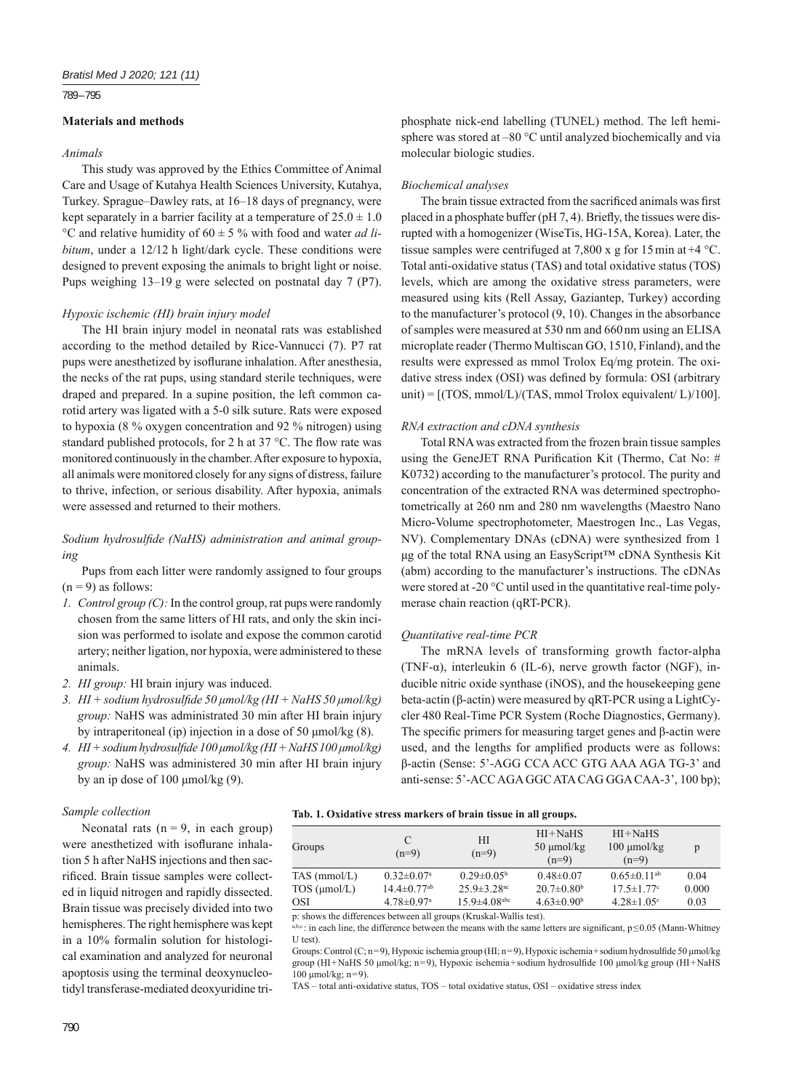#### 789 – 795

# **Materials and methods**

# *Animals*

This study was approved by the Ethics Committee of Animal Care and Usage of Kutahya Health Sciences University, Kutahya, Turkey. Sprague–Dawley rats, at 16–18 days of pregnancy, were kept separately in a barrier facility at a temperature of  $25.0 \pm 1.0$ °C and relative humidity of 60 ± 5 % with food and water *ad libitum*, under a 12/12 h light/dark cycle. These conditions were designed to prevent exposing the animals to bright light or noise. Pups weighing 13–19 g were selected on postnatal day 7 (P7).

## *Hypoxic ischemic (HI) brain injury model*

The HI brain injury model in neonatal rats was established according to the method detailed by Rice-Vannucci (7). P7 rat pups were anesthetized by isoflurane inhalation. After anesthesia, the necks of the rat pups, using standard sterile techniques, were draped and prepared. In a supine position, the left common carotid artery was ligated with a 5-0 silk suture. Rats were exposed to hypoxia (8 % oxygen concentration and 92 % nitrogen) using standard published protocols, for 2 h at 37  $^{\circ}$ C. The flow rate was monitored continuously in the chamber. After exposure to hypoxia, all animals were monitored closely for any signs of distress, failure to thrive, infection, or serious disability. After hypoxia, animals were assessed and returned to their mothers.

# Sodium hydrosulfide (NaHS) administration and animal group*ing*

Pups from each litter were randomly assigned to four groups  $(n = 9)$  as follows:

- *1. Control group (C):* In the control group, rat pups were randomly chosen from the same litters of HI rats, and only the skin incision was performed to isolate and expose the common carotid artery; neither ligation, nor hypoxia, were administered to these animals.
- *2. HI group:* HI brain injury was induced.
- *3. HI + sodium hydrosulfi de 50 μmol/kg (HI + NaHS 50 μmol/kg) group:* NaHS was administrated 30 min after HI brain injury by intraperitoneal (ip) injection in a dose of 50 μmol/kg (8).
- *4. HI + sodium hydrosulfi de 100 μmol/kg (HI + NaHS 100 μmol/kg) group:* NaHS was administered 30 min after HI brain injury by an ip dose of 100 μmol/kg (9).

# phosphate nick-end labelling (TUNEL) method. The left hemisphere was stored at –80 °C until analyzed biochemically and via molecular biologic studies.

## *Biochemical analyses*

The brain tissue extracted from the sacrificed animals was first placed in a phosphate buffer (pH  $7, 4$ ). Briefly, the tissues were disrupted with a homogenizer (WiseTis, HG-15A, Korea). Later, the tissue samples were centrifuged at 7,800 x g for 15 min at  $+4$  °C. Total anti-oxidative status (TAS) and total oxidative status (TOS) levels, which are among the oxidative stress parameters, were measured using kits (Rell Assay, Gaziantep, Turkey) according to the manufacturer's protocol (9, 10). Changes in the absorbance of samples were measured at 530 nm and 660 nm using an ELISA microplate reader (Thermo Multiscan GO, 1510, Finland), and the results were expressed as mmol Trolox Eq/mg protein. The oxidative stress index (OSI) was defined by formula: OSI (arbitrary unit) =  $[(TOS, mmol/L)/(TAS, mmol)$  Trolox equivalent/ L $)/100$ .

## *RNA extraction and cDNA synthesis*

Total RNA was extracted from the frozen brain tissue samples using the GeneJET RNA Purification Kit (Thermo, Cat No:  $#$ K0732) according to the manufacturer's protocol. The purity and concentration of the extracted RNA was determined spectrophotometrically at 260 nm and 280 nm wavelengths (Maestro Nano Micro-Volume spectrophotometer, Maestrogen Inc., Las Vegas, NV). Complementary DNAs (cDNA) were synthesized from 1 μg of the total RNA using an EasyScript™ cDNA Synthesis Kit (abm) according to the manufacturer's instructions. The cDNAs were stored at -20 °C until used in the quantitative real-time polymerase chain reaction (qRT-PCR).

#### *Quantitative real-time PCR*

The mRNA levels of transforming growth factor-alpha (TNF- $\alpha$ ), interleukin 6 (IL-6), nerve growth factor (NGF), inducible nitric oxide synthase (iNOS), and the housekeeping gene beta-actin (β-actin) were measured by qRT-PCR using a LightCycler 480 Real-Time PCR System (Roche Diagnostics, Germany). The specific primers for measuring target genes and  $\beta$ -actin were used, and the lengths for amplified products were as follows: β-actin (Sense: 5'-AGG CCA ACC GTG AAA AGA TG-3' and anti-sense: 5'-ACC AGA GGC ATA CAG GGA CAA-3', 100 bp);

#### *Sample collection*

Neonatal rats  $(n = 9)$ , in each group) were anesthetized with isoflurane inhalation 5 h after NaHS injections and then sacrificed. Brain tissue samples were collected in liquid nitrogen and rapidly dissected. Brain tissue was precisely divided into two hemispheres. The right hemisphere was kept in a 10% formalin solution for histological examination and analyzed for neuronal apoptosis using the terminal deoxynucleotidyl transferase-mediated deoxyuridine tri-

## **Tab. 1. Oxidative stress markers of brain tissue in all groups.**

| Groups               | C<br>$(n=9)$                  | HI<br>$(n=9)$                  | $HI+NaHS$<br>$50 \mu$ mol/kg<br>$(n=9)$ | $HI+NaHS$<br>$100 \mu$ mol/kg<br>$(n=9)$ | p     |
|----------------------|-------------------------------|--------------------------------|-----------------------------------------|------------------------------------------|-------|
| TAS (mmol/L)         | $0.32 \pm 0.07$ <sup>a</sup>  | $0.29 \pm 0.05^{\rm b}$        | $0.48 \pm 0.07$                         | $0.65 \pm 0.11$ <sup>ab</sup>            | 0.04  |
| $TOS$ ( $\mu$ mol/L) | $14.4 \pm 0.77$ <sup>ab</sup> | $25.9 \pm 3.28$ <sup>ac</sup>  | $20.7 \pm 0.80$ <sup>b</sup>            | $17.5 \pm 1.77$ °                        | 0.000 |
| OSI                  | $4.78 \pm 0.97$ <sup>a</sup>  | $15.9 \pm 4.08$ <sup>abc</sup> | $4.63 \pm 0.90^b$                       | $4.28 \pm 1.05$ °                        | 0.03  |
|                      |                               |                                |                                         |                                          |       |

p: shows the differences between all groups (Kruskal-Wallis test).

 $a, b, c$ : in each line, the difference between the means with the same letters are significant,  $p \le 0.05$  (Mann-Whitney U test).

Groups: Control (C; n=9), Hypoxic ischemia group (HI; n=9), Hypoxic ischemia+sodium hydrosulfide 50 μmol/kg group (HI+NaHS 50 μmol/kg; n=9), Hypoxic ischemia+sodium hydrosulfi de 100 μmol/kg group (HI+NaHS  $100 \text{ mmol/kg}$ ; n=9).

TAS – total anti-oxidative status, TOS – total oxidative status, OSI – oxidative stress index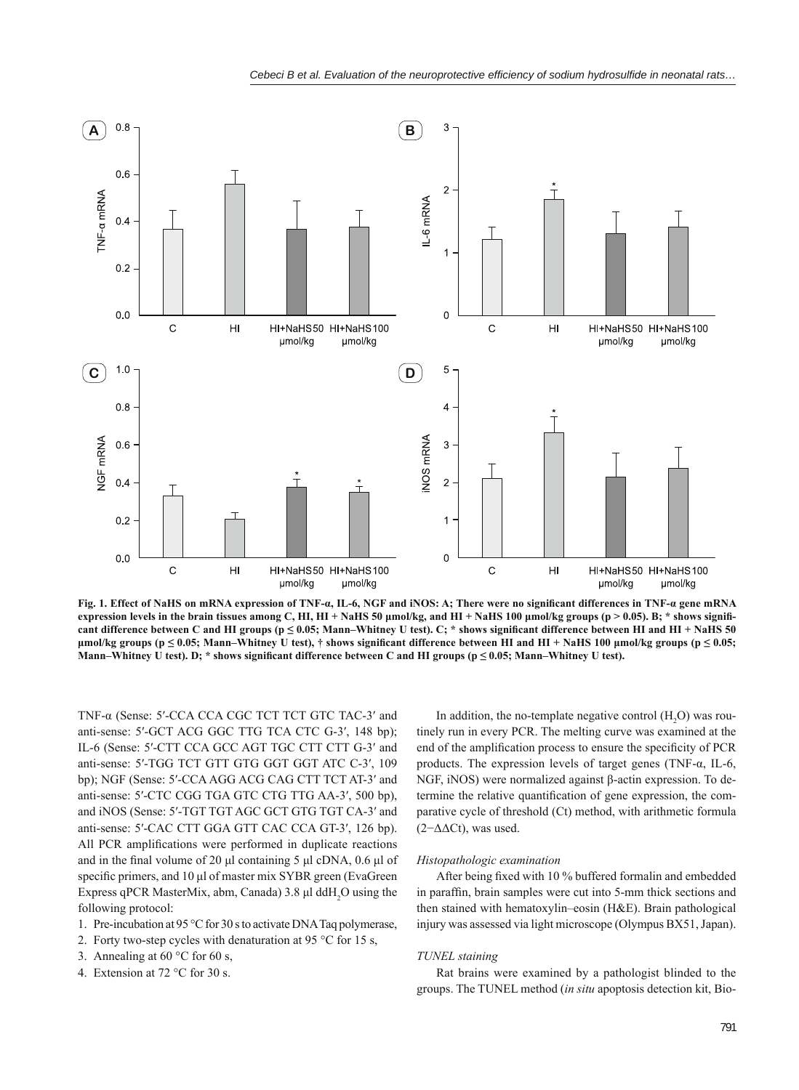

**Fig. 1. Effect of NaHS on mRNA expression of TNF-α, IL-6, NGF and iNOS: A; There were no significant differences in TNF-α gene mRNA expression levels in the brain tissues among C, HI, HI + NaHS 50 μmol/kg, and HI + NaHS 100 μmol/kg groups (p > 0.05). B; \* shows signifi**  cant difference between C and HI groups (p ≤ 0.05; Mann–Whitney U test). C; \* shows significant difference between HI and HI + NaHS 50  $μ$ mol/kg groups ( $p \le 0.05$ ; Mann–Whitney U test),  $†$  shows significant difference between HI and HI + NaHS 100  $μ$ mol/kg groups ( $p \le 0.05$ ; Mann–Whitney U test). D; <sup>★</sup> shows significant difference between C and HI groups (p ≤ 0.05; Mann–Whitney U test).

TNF-α (Sense: 5′-CCA CCA CGC TCT TCT GTC TAC-3′ and anti-sense: 5′-GCT ACG GGC TTG TCA CTC G-3′, 148 bp); IL-6 (Sense: 5′-CTT CCA GCC AGT TGC CTT CTT G-3′ and anti-sense: 5′-TGG TCT GTT GTG GGT GGT ATC C-3′, 109 bp); NGF (Sense: 5′-CCA AGG ACG CAG CTT TCT AT-3′ and anti-sense: 5′-CTC CGG TGA GTC CTG TTG AA-3′, 500 bp), and iNOS (Sense: 5′-TGT TGT AGC GCT GTG TGT CA-3′ and anti-sense: 5′-CAC CTT GGA GTT CAC CCA GT-3′, 126 bp). All PCR amplifications were performed in duplicate reactions and in the final volume of 20 μl containing 5 μl cDNA,  $0.6$  μl of specific primers, and 10 μl of master mix SYBR green (EvaGreen Express qPCR MasterMix, abm, Canada) 3.8 μl ddH<sub>2</sub>O using the following protocol:

- 1. Pre-incubation at 95 °C for 30 s to activate DNA Taq polymerase,
- 2. Forty two-step cycles with denaturation at 95 °C for 15 s,
- 3. Annealing at 60  $^{\circ}$ C for 60 s,
- 4. Extension at 72 °C for 30 s.

In addition, the no-template negative control  $(H_2O)$  was routinely run in every PCR. The melting curve was examined at the end of the amplification process to ensure the specificity of PCR products. The expression levels of target genes (TNF-α, IL-6, NGF, iNOS) were normalized against β-actin expression. To determine the relative quantification of gene expression, the comparative cycle of threshold (Ct) method, with arithmetic formula (2−ΔΔCt), was used.

#### *Histopathologic examination*

After being fixed with 10 % buffered formalin and embedded in paraffin, brain samples were cut into 5-mm thick sections and then stained with hematoxylin–eosin (H&E). Brain pathological injury was assessed via light microscope (Olympus BX51, Japan).

## *TUNEL staining*

Rat brains were examined by a pathologist blinded to the groups. The TUNEL method (*in situ* apoptosis detection kit, Bio-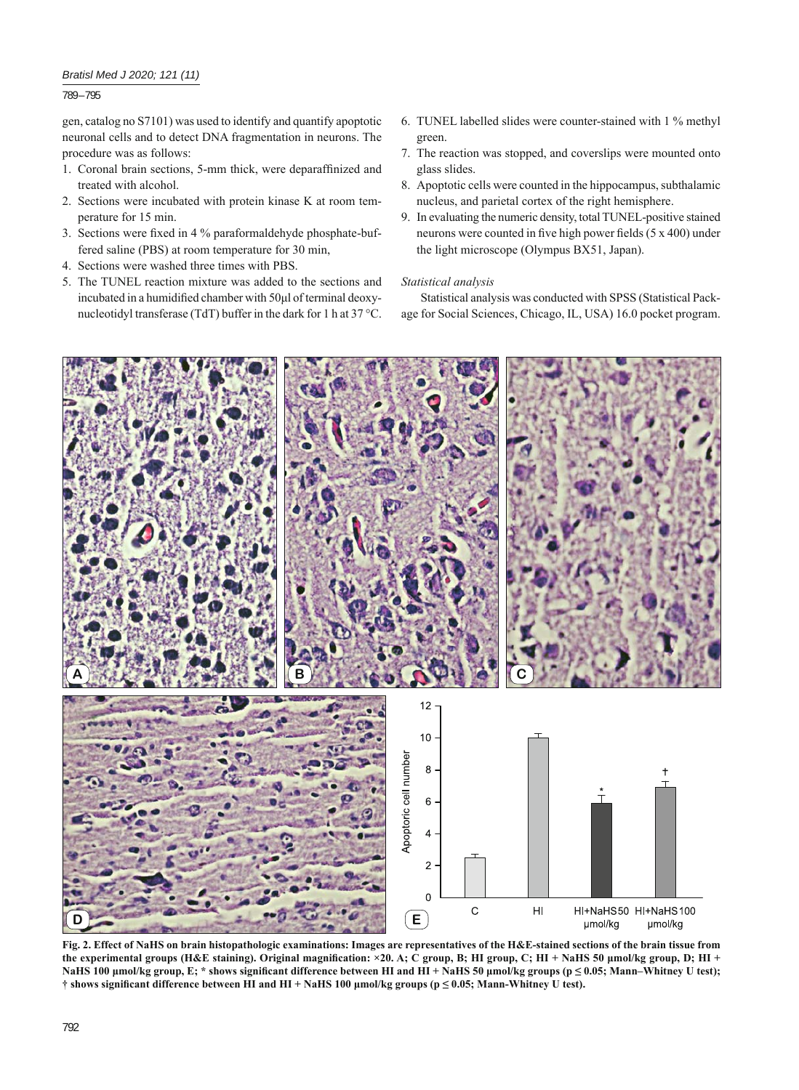# *Bratisl Med J 2020; 121 (11)*

# 789 – 795

gen, catalog no S7101) was used to identify and quantify apoptotic neuronal cells and to detect DNA fragmentation in neurons. The procedure was as follows:

- 1. Coronal brain sections, 5-mm thick, were deparaffinized and treated with alcohol.
- 2. Sections were incubated with protein kinase K at room temperature for 15 min.
- 3. Sections were fixed in 4 % paraformaldehyde phosphate-buffered saline (PBS) at room temperature for 30 min,
- 4. Sections were washed three times with PBS.
- 5. The TUNEL reaction mixture was added to the sections and incubated in a humidified chamber with 50μl of terminal deoxynucleotidyl transferase (TdT) buffer in the dark for 1 h at 37 °C.
- 6. TUNEL labelled slides were counter-stained with 1 % methyl green.
- 7. The reaction was stopped, and coverslips were mounted onto glass slides.
- 8. Apoptotic cells were counted in the hippocampus, subthalamic nucleus, and parietal cortex of the right hemisphere.
- 9. In evaluating the numeric density, total TUNEL-positive stained neurons were counted in five high power fields (5 x 400) under the light microscope (Olympus BX51, Japan).

## *Statistical analysis*

Statistical analysis was conducted with SPSS (Statistical Package for Social Sciences, Chicago, IL, USA) 16.0 pocket program.



**Fig. 2. Effect of NaHS on brain histopathologic examinations: Images are representatives of the H&E-stained sections of the brain tissue from**  the experimental groups (H&E staining). Original magnification: ×20. A; C group, B; HI group, C; HI + NaHS 50 μmol/kg group, D; HI + **NaHS 100 µmol/kg group, E; \* shows significant difference between HI and HI + NaHS 50 µmol/kg groups (p ≤ 0.05; Mann–Whitney U test); † shows signifi cant difference between HI and HI + NaHS 100 μmol/kg groups (p ≤ 0.05; Mann-Whitney U test).**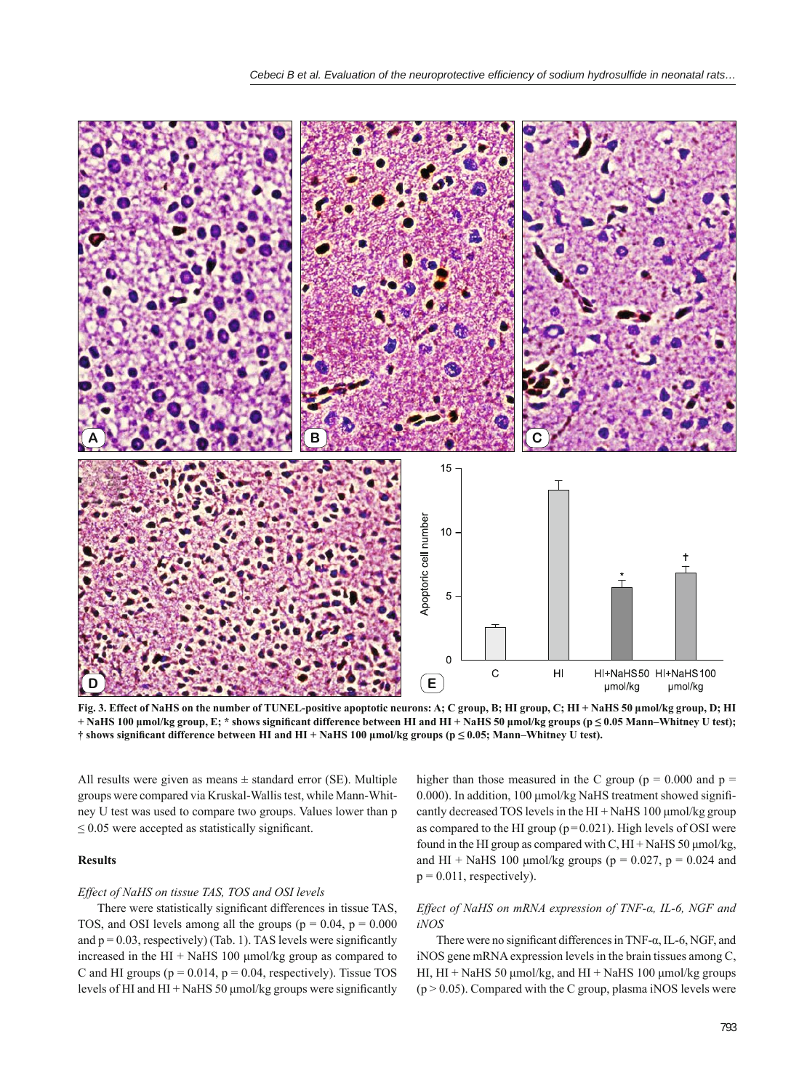

**Fig. 3. Effect of NaHS on the number of TUNEL-positive apoptotic neurons: A; C group, B; HI group, C; HI + NaHS 50 μmol/kg group, D; HI + NaHS 100** μmol/kg group, E; \* shows significant difference between HI and HI + NaHS 50 μmol/kg groups (p ≤ 0.05 Mann–Whitney U test); **† shows signifi cant difference between HI and HI + NaHS 100 μmol/kg groups (p ≤ 0.05; Mann‒Whitney U test).**

All results were given as means  $\pm$  standard error (SE). Multiple groups were compared via Kruskal-Wallis test, while Mann-Whitney U test was used to compare two groups. Values lower than p  $\leq$  0.05 were accepted as statistically significant.

# **Results**

## *Effect of NaHS on tissue TAS, TOS and OSI levels*

There were statistically significant differences in tissue TAS, TOS, and OSI levels among all the groups ( $p = 0.04$ ,  $p = 0.000$ and  $p = 0.03$ , respectively) (Tab. 1). TAS levels were significantly increased in the  $HI + NaHS$  100  $\mu$ mol/kg group as compared to C and HI groups ( $p = 0.014$ ,  $p = 0.04$ , respectively). Tissue TOS levels of HI and HI + NaHS 50  $\mu$ mol/kg groups were significantly

higher than those measured in the C group ( $p = 0.000$  and  $p =$ 0.000). In addition, 100 μmol/kg NaHS treatment showed signifi cantly decreased TOS levels in the HI + NaHS 100 μmol/kg group as compared to the HI group ( $p = 0.021$ ). High levels of OSI were found in the HI group as compared with C,  $HI + NaHS 50 \mu m ol/kg$ , and HI + NaHS 100 µmol/kg groups ( $p = 0.027$ ,  $p = 0.024$  and  $p = 0.011$ , respectively).

# *Effect of NaHS on mRNA expression of TNF-α, IL-6, NGF and iNOS*

There were no significant differences in TNF- $\alpha$ , IL-6, NGF, and iNOS gene mRNA expression levels in the brain tissues among C, HI, HI + NaHS 50 μmol/kg, and HI + NaHS 100 μmol/kg groups  $(p > 0.05)$ . Compared with the C group, plasma iNOS levels were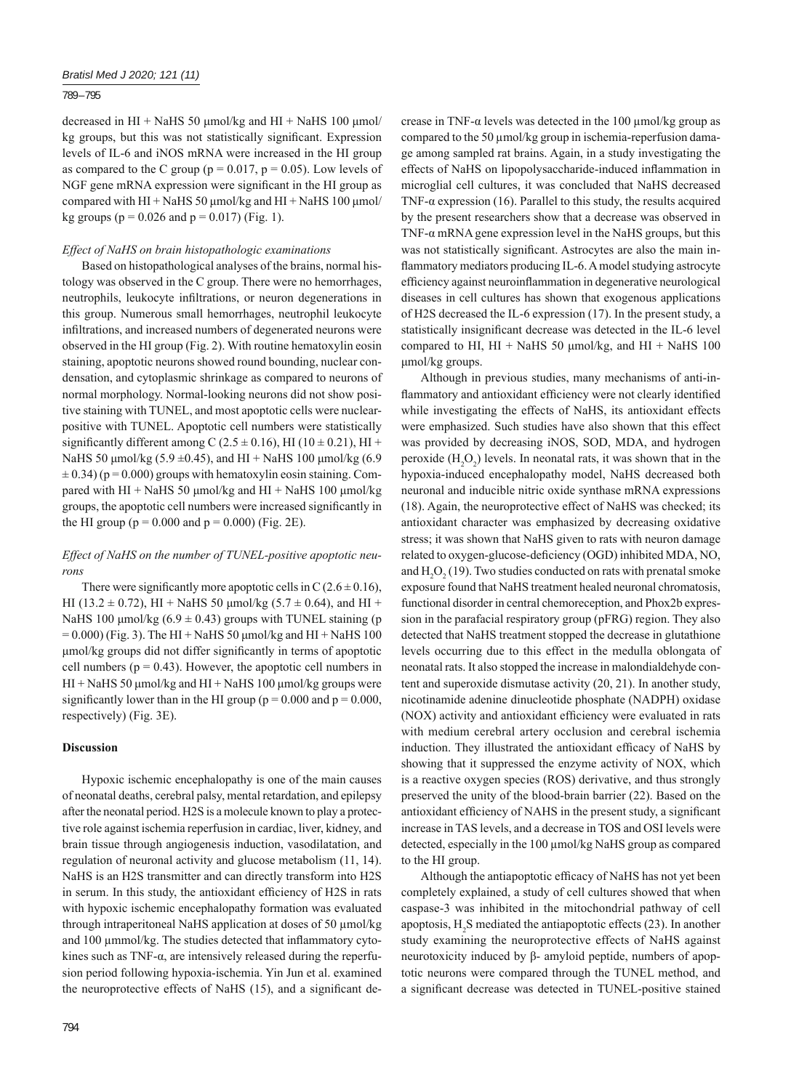## 789 – 795

decreased in HI + NaHS 50 μmol/kg and HI + NaHS 100 μmol/ kg groups, but this was not statistically significant. Expression levels of IL-6 and iNOS mRNA were increased in the HI group as compared to the C group ( $p = 0.017$ ,  $p = 0.05$ ). Low levels of NGF gene mRNA expression were significant in the HI group as compared with HI + NaHS 50  $\mu$ mol/kg and HI + NaHS 100  $\mu$ mol/ kg groups ( $p = 0.026$  and  $p = 0.017$ ) (Fig. 1).

#### *Effect of NaHS on brain histopathologic examinations*

Based on histopathological analyses of the brains, normal histology was observed in the C group. There were no hemorrhages, neutrophils, leukocyte infiltrations, or neuron degenerations in this group. Numerous small hemorrhages, neutrophil leukocyte infiltrations, and increased numbers of degenerated neurons were observed in the HI group (Fig. 2). With routine hematoxylin eosin staining, apoptotic neurons showed round bounding, nuclear condensation, and cytoplasmic shrinkage as compared to neurons of normal morphology. Normal-looking neurons did not show positive staining with TUNEL, and most apoptotic cells were nuclearpositive with TUNEL. Apoptotic cell numbers were statistically significantly different among C (2.5  $\pm$  0.16), HI (10  $\pm$  0.21), HI + NaHS 50 μmol/kg (5.9 ±0.45), and HI + NaHS 100 μmol/kg (6.9  $\pm$  0.34) (p = 0.000) groups with hematoxylin eosin staining. Compared with HI + NaHS 50  $\mu$ mol/kg and HI + NaHS 100  $\mu$ mol/kg groups, the apoptotic cell numbers were increased significantly in the HI group ( $p = 0.000$  and  $p = 0.000$ ) (Fig. 2E).

# *Effect of NaHS on the number of TUNEL-positive apoptotic neurons*

There were significantly more apoptotic cells in C  $(2.6 \pm 0.16)$ , HI (13.2  $\pm$  0.72), HI + NaHS 50 µmol/kg (5.7  $\pm$  0.64), and HI + NaHS 100  $\mu$ mol/kg (6.9  $\pm$  0.43) groups with TUNEL staining (p  $= 0.000$ ) (Fig. 3). The HI + NaHS 50 µmol/kg and HI + NaHS 100 μmol/kg groups did not differ significantly in terms of apoptotic cell numbers ( $p = 0.43$ ). However, the apoptotic cell numbers in  $HI + NaHS$  50  $\mu$ mol/kg and  $HI + NaHS$  100  $\mu$ mol/kg groups were significantly lower than in the HI group ( $p = 0.000$  and  $p = 0.000$ , respectively) (Fig. 3E).

#### **Discussion**

Hypoxic ischemic encephalopathy is one of the main causes of neonatal deaths, cerebral palsy, mental retardation, and epilepsy after the neonatal period. H2S is a molecule known to play a protective role against ischemia reperfusion in cardiac, liver, kidney, and brain tissue through angiogenesis induction, vasodilatation, and regulation of neuronal activity and glucose metabolism (11, 14). NaHS is an H2S transmitter and can directly transform into H2S in serum. In this study, the antioxidant efficiency of H2S in rats with hypoxic ischemic encephalopathy formation was evaluated through intraperitoneal NaHS application at doses of 50 μmol/kg and 100 μmmol/kg. The studies detected that inflammatory cytokines such as TNF- $\alpha$ , are intensively released during the reperfusion period following hypoxia-ischemia. Yin Jun et al. examined the neuroprotective effects of NaHS  $(15)$ , and a significant decrease in TNF-α levels was detected in the 100 μmol/kg group as compared to the 50 μmol/kg group in ischemia-reperfusion damage among sampled rat brains. Again, in a study investigating the effects of NaHS on lipopolysaccharide-induced inflammation in microglial cell cultures, it was concluded that NaHS decreased TNF- $\alpha$  expression (16). Parallel to this study, the results acquired by the present researchers show that a decrease was observed in TNF- $\alpha$  mRNA gene expression level in the NaHS groups, but this was not statistically significant. Astrocytes are also the main inflammatory mediators producing IL-6. A model studying astrocyte efficiency against neuroinflammation in degenerative neurological diseases in cell cultures has shown that exogenous applications of H2S decreased the IL-6 expression (17). In the present study, a statistically insignificant decrease was detected in the IL-6 level compared to HI,  $HI + NaHS$  50 µmol/kg, and  $HI + NaHS$  100 μmol/kg groups.

Although in previous studies, many mechanisms of anti-inflammatory and antioxidant efficiency were not clearly identified while investigating the effects of NaHS, its antioxidant effects were emphasized. Such studies have also shown that this effect was provided by decreasing iNOS, SOD, MDA, and hydrogen peroxide  $(H_2O_2)$  levels. In neonatal rats, it was shown that in the hypoxia-induced encephalopathy model, NaHS decreased both neuronal and inducible nitric oxide synthase mRNA expressions (18). Again, the neuroprotective effect of NaHS was checked; its antioxidant character was emphasized by decreasing oxidative stress; it was shown that NaHS given to rats with neuron damage related to oxygen-glucose-deficiency (OGD) inhibited MDA, NO, and  $H_2O_2(19)$ . Two studies conducted on rats with prenatal smoke exposure found that NaHS treatment healed neuronal chromatosis, functional disorder in central chemoreception, and Phox2b expression in the parafacial respiratory group (pFRG) region. They also detected that NaHS treatment stopped the decrease in glutathione levels occurring due to this effect in the medulla oblongata of neonatal rats. It also stopped the increase in malondialdehyde content and superoxide dismutase activity (20, 21). In another study, nicotinamide adenine dinucleotide phosphate (NADPH) oxidase (NOX) activity and antioxidant efficiency were evaluated in rats with medium cerebral artery occlusion and cerebral ischemia induction. They illustrated the antioxidant efficacy of NaHS by showing that it suppressed the enzyme activity of NOX, which is a reactive oxygen species (ROS) derivative, and thus strongly preserved the unity of the blood-brain barrier (22). Based on the antioxidant efficiency of NAHS in the present study, a significant increase in TAS levels, and a decrease in TOS and OSI levels were detected, especially in the 100 μmol/kg NaHS group as compared to the HI group.

Although the antiapoptotic efficacy of NaHS has not yet been completely explained, a study of cell cultures showed that when caspase-3 was inhibited in the mitochondrial pathway of cell apoptosis,  $H_2S$  mediated the antiapoptotic effects (23). In another study examining the neuroprotective effects of NaHS against neurotoxicity induced by β- amyloid peptide, numbers of apoptotic neurons were compared through the TUNEL method, and a significant decrease was detected in TUNEL-positive stained